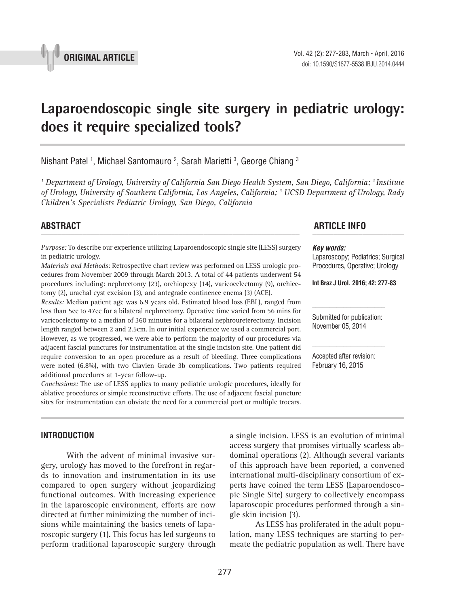

## **Laparoendoscopic single site surgery in pediatric urology: does it require specialized tools? \_\_\_\_\_\_\_\_\_\_\_\_\_\_\_\_\_\_\_\_\_\_\_\_\_\_\_\_\_\_\_\_\_\_\_\_\_\_\_\_\_\_\_\_\_\_\_**

Nishant Patel <sup>1</sup>, Michael Santomauro <sup>2</sup>, Sarah Marietti <sup>3</sup>, George Chiang <sup>3</sup>

*1 Department of Urology, University of California San Diego Health System, San Diego, California; 2 Institute of Urology, University of Southern California, Los Angeles, California; 3 UCSD Department of Urology, Rady Children's Specialists Pediatric Urology, San Diego, California*

*Purpose:* To describe our experience utilizing Laparoendoscopic single site (LESS) surgery in pediatric urology.

*Materials and Methods:* Retrospective chart review was performed on LESS urologic procedures from November 2009 through March 2013. A total of 44 patients underwent 54 procedures including: nephrectomy (23), orchiopexy (14), varicocelectomy (9), orchiectomy (2), urachal cyst excision (3), and antegrade continence enema (3) (ACE).

*Results:* Median patient age was 6.9 years old. Estimated blood loss (EBL), ranged from less than 5cc to 47cc for a bilateral nephrectomy. Operative time varied from 56 mins for varicocelectomy to a median of 360 minutes for a bilateral nephroureterectomy. Incision length ranged between 2 and 2.5cm. In our initial experience we used a commercial port. However, as we progressed, we were able to perform the majority of our procedures via adjacent fascial punctures for instrumentation at the single incision site. One patient did require conversion to an open procedure as a result of bleeding. Three complications were noted (6.8%), with two Clavien Grade 3b complications. Two patients required additional procedures at 1-year follow-up.

*Conclusions:* The use of LESS applies to many pediatric urologic procedures, ideally for ablative procedures or simple reconstructive efforts. The use of adjacent fascial puncture sites for instrumentation can obviate the need for a commercial port or multiple trocars.

#### **INTRODUCTION**

With the advent of minimal invasive surgery, urology has moved to the forefront in regards to innovation and instrumentation in its use compared to open surgery without jeopardizing functional outcomes. With increasing experience in the laparoscopic environment, efforts are now directed at further minimizing the number of incisions while maintaining the basics tenets of laparoscopic surgery (1). This focus has led surgeons to perform traditional laparoscopic surgery through

# **ABSTRACT ARTICLE INFO** *\_\_\_\_\_\_\_\_\_\_\_\_\_\_\_\_\_\_\_\_\_\_\_\_\_\_\_\_\_\_\_\_\_\_\_\_\_\_\_\_\_\_\_\_\_\_\_\_\_\_\_\_\_\_\_\_\_\_\_\_\_\_ \_\_\_\_\_\_\_\_\_\_\_\_\_\_\_\_\_\_\_\_\_\_*

#### *Key words:*

Laparoscopy; Pediatrics; Surgical Procedures, Operative; Urology

**Int Braz J Urol. 2016; 42: 277-83**

Submitted for publication: November 05, 2014

Accepted after revision: February 16, 2015

a single incision. LESS is an evolution of minimal access surgery that promises virtually scarless abdominal operations (2). Although several variants of this approach have been reported, a convened international multi-disciplinary consortium of experts have coined the term LESS (Laparoendoscopic Single Site) surgery to collectively encompass laparoscopic procedures performed through a single skin incision (3).

As LESS has proliferated in the adult population, many LESS techniques are starting to permeate the pediatric population as well. There have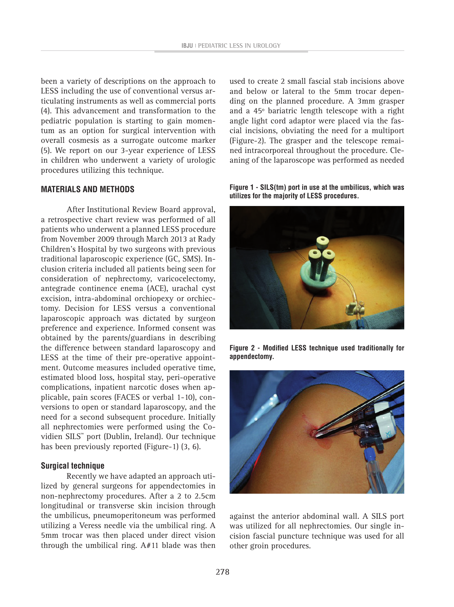been a variety of descriptions on the approach to LESS including the use of conventional versus articulating instruments as well as commercial ports (4). This advancement and transformation to the pediatric population is starting to gain momentum as an option for surgical intervention with overall cosmesis as a surrogate outcome marker (5). We report on our 3-year experience of LESS in children who underwent a variety of urologic procedures utilizing this technique.

#### **MATERIALS AND METHODS**

After Institutional Review Board approval, a retrospective chart review was performed of all patients who underwent a planned LESS procedure from November 2009 through March 2013 at Rady Children's Hospital by two surgeons with previous traditional laparoscopic experience (GC, SMS). Inclusion criteria included all patients being seen for consideration of nephrectomy, varicocelectomy, antegrade continence enema (ACE), urachal cyst excision, intra-abdominal orchiopexy or orchiectomy. Decision for LESS versus a conventional laparoscopic approach was dictated by surgeon preference and experience. Informed consent was obtained by the parents/guardians in describing the difference between standard laparoscopy and LESS at the time of their pre-operative appointment. Outcome measures included operative time, estimated blood loss, hospital stay, peri-operative complications, inpatient narcotic doses when applicable, pain scores (FACES or verbal 1-10), conversions to open or standard laparoscopy, and the need for a second subsequent procedure. Initially all nephrectomies were performed using the Covidien SILS™ port (Dublin, Ireland). Our technique has been previously reported (Figure-1) (3, 6).

### **Surgical technique**

Recently we have adapted an approach utilized by general surgeons for appendectomies in non-nephrectomy procedures. After a 2 to 2.5cm longitudinal or transverse skin incision through the umbilicus, pneumoperitoneum was performed utilizing a Veress needle via the umbilical ring. A 5mm trocar was then placed under direct vision through the umbilical ring. A#11 blade was then used to create 2 small fascial stab incisions above and below or lateral to the 5mm trocar depending on the planned procedure. A 3mm grasper and a 45º bariatric length telescope with a right angle light cord adaptor were placed via the fascial incisions, obviating the need for a multiport (Figure-2). The grasper and the telescope remained intracorporeal throughout the procedure. Cleaning of the laparoscope was performed as needed

**Figure 1 - SILS(tm) port in use at the umbilicus, which was utilizes for the majority of LESS procedures.**



**Figure 2 - Modified LESS technique used traditionally for appendectomy.**



against the anterior abdominal wall. A SILS port was utilized for all nephrectomies. Our single incision fascial puncture technique was used for all other groin procedures.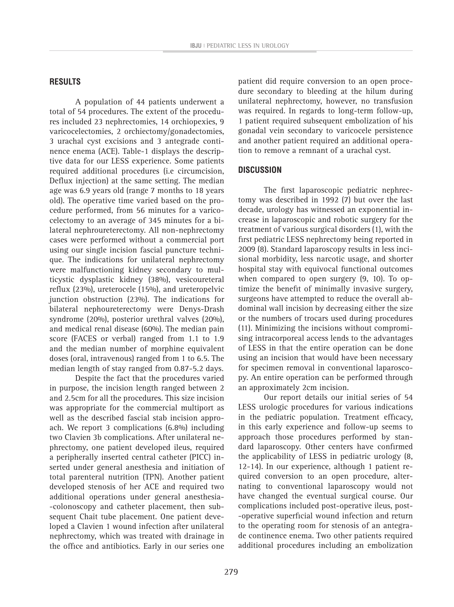#### **RESULTS**

A population of 44 patients underwent a total of 54 procedures. The extent of the procedures included 23 nephrectomies, 14 orchiopexies, 9 varicocelectomies, 2 orchiectomy/gonadectomies, 3 urachal cyst excisions and 3 antegrade continence enema (ACE). Table-1 displays the descriptive data for our LESS experience. Some patients required additional procedures (i.e circumcision, Deflux injection) at the same setting. The median age was 6.9 years old (range 7 months to 18 years old). The operative time varied based on the procedure performed, from 56 minutes for a varicocelectomy to an average of 345 minutes for a bilateral nephroureterectomy. All non-nephrectomy cases were performed without a commercial port using our single incision fascial puncture technique. The indications for unilateral nephrectomy were malfunctioning kidney secondary to multicystic dysplastic kidney (38%), vesicoureteral reflux (23%), ureterocele (15%), and ureteropelvic junction obstruction (23%). The indications for bilateral nephoureterectomy were Denys-Drash syndrome (20%), posterior urethral valves (20%), and medical renal disease (60%). The median pain score (FACES or verbal) ranged from 1.1 to 1.9 and the median number of morphine equivalent doses (oral, intravenous) ranged from 1 to 6.5. The median length of stay ranged from 0.87-5.2 days.

Despite the fact that the procedures varied in purpose, the incision length ranged between 2 and 2.5cm for all the procedures. This size incision was appropriate for the commercial multiport as well as the described fascial stab incision approach. We report 3 complications (6.8%) including two Clavien 3b complications. After unilateral nephrectomy, one patient developed ileus, required a peripherally inserted central catheter (PICC) inserted under general anesthesia and initiation of total parenteral nutrition (TPN). Another patient developed stenosis of her ACE and required two additional operations under general anesthesia- -colonoscopy and catheter placement, then subsequent Chait tube placement. One patient developed a Clavien 1 wound infection after unilateral nephrectomy, which was treated with drainage in the office and antibiotics. Early in our series one patient did require conversion to an open procedure secondary to bleeding at the hilum during unilateral nephrectomy, however, no transfusion was required. In regards to long-term follow-up, 1 patient required subsequent embolization of his gonadal vein secondary to varicocele persistence and another patient required an additional operation to remove a remnant of a urachal cyst.

### **DISCUSSION**

The first laparoscopic pediatric nephrectomy was described in 1992 (7) but over the last decade, urology has witnessed an exponential increase in laparoscopic and robotic surgery for the treatment of various surgical disorders (1), with the first pediatric LESS nephrectomy being reported in 2009 (8). Standard laparoscopy results in less incisional morbidity, less narcotic usage, and shorter hospital stay with equivocal functional outcomes when compared to open surgery (9, 10). To optimize the benefit of minimally invasive surgery, surgeons have attempted to reduce the overall abdominal wall incision by decreasing either the size or the numbers of trocars used during procedures (11). Minimizing the incisions without compromising intracorporeal access lends to the advantages of LESS in that the entire operation can be done using an incision that would have been necessary for specimen removal in conventional laparoscopy. An entire operation can be performed through an approximately 2cm incision.

Our report details our initial series of 54 LESS urologic procedures for various indications in the pediatric population. Treatment efficacy, in this early experience and follow-up seems to approach those procedures performed by standard laparoscopy. Other centers have confirmed the applicability of LESS in pediatric urology (8, 12-14). In our experience, although 1 patient required conversion to an open procedure, alternating to conventional laparoscopy would not have changed the eventual surgical course. Our complications included post-operative ileus, post- -operative superficial wound infection and return to the operating room for stenosis of an antegrade continence enema. Two other patients required additional procedures including an embolization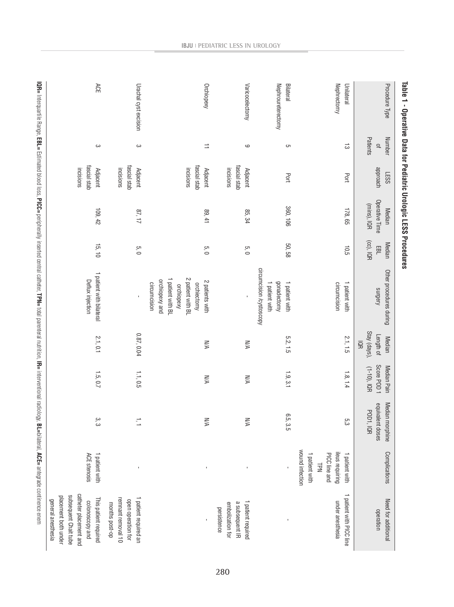| Table 1 - Operative Data for Pediatric Urologic LESS Procedures |                                      |                                              |                                         |                               |                                                                                                                          |                                                  |                                                         |                                                  |                                                                                                           |                                                                                                                                           |
|-----------------------------------------------------------------|--------------------------------------|----------------------------------------------|-----------------------------------------|-------------------------------|--------------------------------------------------------------------------------------------------------------------------|--------------------------------------------------|---------------------------------------------------------|--------------------------------------------------|-----------------------------------------------------------------------------------------------------------|-------------------------------------------------------------------------------------------------------------------------------------------|
| Procedure Type                                                  | Number<br>Patients<br>$\overline{a}$ | qproach<br>SS3T                              | Operative Time<br>(mins), IQR<br>Median | $(cc)$ , IQR<br>Median<br>EBL | Other procedures during<br>Surgery                                                                                       | Stay (days),<br>Length of<br><b>Median</b><br>ŪЯ | Score POD <sub>1</sub><br>Median Pain<br>$(1-10)$ , IQR | Median morphine<br>equivalent doses<br>POD1, IQR | Complications                                                                                             | Need for additional<br>operation                                                                                                          |
| Nephrectomy<br>Unilateral                                       | $\vec{\omega}$                       | Port                                         | 178, 65                                 | 10,5                          | 1 patient with<br>circumcision                                                                                           | 2.1, 1.5                                         | 1.8, 1.4                                                | 5,3                                              | wound infection<br>ileus requiring<br>1 patient with<br>PICC line and<br>1 patient with<br>$\overline{a}$ | 1 patient with PICC line<br>under anesthesia                                                                                              |
| Nephroureterectomy<br><b>Bilateral</b>                          | S                                    | Port                                         | 360, 106                                | 50,58                         | circumcision /cystoscopy<br>gonadectomy<br>1 patient with<br>1 patient with                                              | 5.2, 1.5                                         | 1.9, 3.1                                                | 6.5, 3.5                                         |                                                                                                           |                                                                                                                                           |
| Varicocelectomy                                                 | $\rm ^{\circ}$                       | fascial stab<br>incisions<br><b>Adjacent</b> | 85, 34                                  | 5,0                           | $\bar{1}$                                                                                                                | <b>N/A</b>                                       | <b>N/A</b>                                              | <b>N/A</b>                                       |                                                                                                           | 1 patient required<br>a subsequent IR<br>embolization for<br>persistence                                                                  |
| Orchiopexy                                                      | $\overrightarrow{a}$                 | fascial stab<br>incisions<br><b>Adjacent</b> | 89, 41                                  | 5,0                           | 2 patient with BL<br>1 patient with BL<br>orchiopexy and<br>2 patients with<br>circumcision<br>orchiectomy<br>orchiopexy | <b>N/A</b>                                       | <b>N/A</b>                                              | <b>N/A</b>                                       |                                                                                                           |                                                                                                                                           |
| Urachal cyst excision                                           | ယ                                    | fascial stab<br>incisions<br><b>Adjacent</b> | 87,17                                   | 5,0                           |                                                                                                                          | 0.87, 0.04                                       | 1.1, 0.5                                                | $\frac{1}{2}$                                    |                                                                                                           | 1 patient required an<br>remnant removal 10<br>open operation for<br>months post-op                                                       |
| ACE                                                             | ယ                                    | fascial stab<br>incisions<br><b>Adjacent</b> | 109, 42                                 | 15, 10                        | 1 patient with bilateral<br>Deflux injection                                                                             | 2.1, 0.1                                         | 1.5, 0.7                                                | ၁,<br>၁                                          | <b>ACE stenosis</b><br>1 patient with                                                                     | catheter placement and<br>subsequent Chait tube<br>placement both under<br>This patient required<br>general anesthesia<br>pue vaposouplos |

**IQR=** 

Interquartile Range,

**EBL=**

Estimated blood loss,

**PICC=**

peripherally inserted central catheter,

**TPN=**

total parenteral nutrition,

**IR=** 

interventional radiology,

**BL=**bilateral,

**ACE=**

antegrade continence enem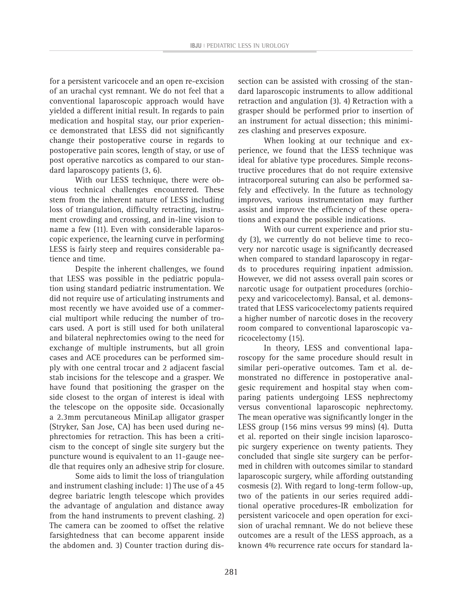for a persistent varicocele and an open re-excision of an urachal cyst remnant. We do not feel that a conventional laparoscopic approach would have yielded a different initial result. In regards to pain medication and hospital stay, our prior experience demonstrated that LESS did not significantly change their postoperative course in regards to postoperative pain scores, length of stay, or use of post operative narcotics as compared to our standard laparoscopy patients (3, 6).

With our LESS technique, there were obvious technical challenges encountered. These stem from the inherent nature of LESS including loss of triangulation, difficulty retracting, instrument crowding and crossing, and in-line vision to name a few (11). Even with considerable laparoscopic experience, the learning curve in performing LESS is fairly steep and requires considerable patience and time.

Despite the inherent challenges, we found that LESS was possible in the pediatric population using standard pediatric instrumentation. We did not require use of articulating instruments and most recently we have avoided use of a commercial multiport while reducing the number of trocars used. A port is still used for both unilateral and bilateral nephrectomies owing to the need for exchange of multiple instruments, but all groin cases and ACE procedures can be performed simply with one central trocar and 2 adjacent fascial stab incisions for the telescope and a grasper. We have found that positioning the grasper on the side closest to the organ of interest is ideal with the telescope on the opposite side. Occasionally a 2.3mm percutaneous MiniLap alligator grasper (Stryker, San Jose, CA) has been used during nephrectomies for retraction. This has been a criticism to the concept of single site surgery but the puncture wound is equivalent to an 11-gauge needle that requires only an adhesive strip for closure.

Some aids to limit the loss of triangulation and instrument clashing include: 1) The use of a 45 degree bariatric length telescope which provides the advantage of angulation and distance away from the hand instruments to prevent clashing. 2) The camera can be zoomed to offset the relative farsightedness that can become apparent inside the abdomen and. 3) Counter traction during dissection can be assisted with crossing of the standard laparoscopic instruments to allow additional retraction and angulation (3). 4) Retraction with a grasper should be performed prior to insertion of an instrument for actual dissection; this minimizes clashing and preserves exposure.

When looking at our technique and experience, we found that the LESS technique was ideal for ablative type procedures. Simple reconstructive procedures that do not require extensive intracorporeal suturing can also be performed safely and effectively. In the future as technology improves, various instrumentation may further assist and improve the efficiency of these operations and expand the possible indications.

With our current experience and prior study (3), we currently do not believe time to recovery nor narcotic usage is significantly decreased when compared to standard laparoscopy in regards to procedures requiring inpatient admission. However, we did not assess overall pain scores or narcotic usage for outpatient procedures (orchiopexy and varicocelectomy). Bansal, et al. demonstrated that LESS varicocelectomy patients required a higher number of narcotic doses in the recovery room compared to conventional laparoscopic varicocelectomy (15).

In theory, LESS and conventional laparoscopy for the same procedure should result in similar peri-operative outcomes. Tam et al. demonstrated no difference in postoperative analgesic requirement and hospital stay when comparing patients undergoing LESS nephrectomy versus conventional laparoscopic nephrectomy. The mean operative was significantly longer in the LESS group (156 mins versus 99 mins) (4). Dutta et al. reported on their single incision laparoscopic surgery experience on twenty patients. They concluded that single site surgery can be performed in children with outcomes similar to standard laparoscopic surgery, while affording outstanding cosmesis (2). With regard to long-term follow-up, two of the patients in our series required additional operative procedures-IR embolization for persistent varicocele and open operation for excision of urachal remnant. We do not believe these outcomes are a result of the LESS approach, as a known 4% recurrence rate occurs for standard la-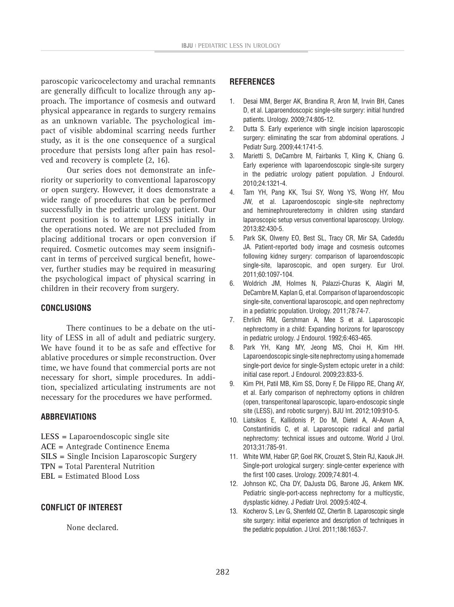paroscopic varicocelectomy and urachal remnants are generally difficult to localize through any approach. The importance of cosmesis and outward physical appearance in regards to surgery remains as an unknown variable. The psychological impact of visible abdominal scarring needs further study, as it is the one consequence of a surgical procedure that persists long after pain has resolved and recovery is complete (2, 16).

Our series does not demonstrate an inferiority or superiority to conventional laparoscopy or open surgery. However, it does demonstrate a wide range of procedures that can be performed successfully in the pediatric urology patient. Our current position is to attempt LESS initially in the operations noted. We are not precluded from placing additional trocars or open conversion if required. Cosmetic outcomes may seem insignificant in terms of perceived surgical benefit, however, further studies may be required in measuring the psychological impact of physical scarring in children in their recovery from surgery.

#### **CONCLUSIONS**

There continues to be a debate on the utility of LESS in all of adult and pediatric surgery. We have found it to be as safe and effective for ablative procedures or simple reconstruction. Over time, we have found that commercial ports are not necessary for short, simple procedures. In addition, specialized articulating instruments are not necessary for the procedures we have performed.

#### **Abbreviations**

- **LESS =** Laparoendoscopic single site
- **ACE =** Antegrade Continence Enema
- **SILS =** Single Incision Laparoscopic Surgery
- **TPN =** Total Parenteral Nutrition
- **EBL =** Estimated Blood Loss

### **CONFLICT OF INTEREST**

None declared.

#### **REFERENCES**

- 1. Desai MM, Berger AK, Brandina R, Aron M, Irwin BH, Canes D, et al. Laparoendoscopic single-site surgery: initial hundred patients. Urology. 2009;74:805-12.
- 2. Dutta S. Early experience with single incision laparoscopic surgery: eliminating the scar from abdominal operations. J Pediatr Surg. 2009;44:1741-5.
- 3. Marietti S, DeCambre M, Fairbanks T, Kling K, Chiang G. Early experience with laparoendoscopic single-site surgery in the pediatric urology patient population. J Endourol. 2010;24:1321-4.
- Tam YH, Pang KK, Tsui SY, Wong YS, Wong HY, Mou JW, et al. Laparoendoscopic single-site nephrectomy and heminephroureterectomy in children using standard laparoscopic setup versus conventional laparoscopy. Urology. 2013;82:430-5.
- 5. Park SK, Olweny EO, Best SL, Tracy CR, Mir SA, Cadeddu JA. Patient-reported body image and cosmesis outcomes following kidney surgery: comparison of laparoendoscopic single-site, laparoscopic, and open surgery. Eur Urol. 2011;60:1097-104.
- 6. Woldrich JM, Holmes N, Palazzi-Churas K, Alagiri M, DeCambre M, Kaplan G, et al. Comparison of laparoendoscopic single-site, conventional laparoscopic, and open nephrectomy in a pediatric population. Urology. 2011;78:74-7.
- 7. Ehrlich RM, Gershman A, Mee S et al. Laparoscopic nephrectomy in a child: Expanding horizons for laparoscopy in pediatric urology. J Endourol. 1992;6:463-465.
- 8. Park YH, Kang MY, Jeong MS, Choi H, Kim HH. Laparoendoscopic single-site nephrectomy using a homemade single-port device for single-System ectopic ureter in a child: initial case report. J Endourol. 2009;23:833-5.
- 9. Kim PH, Patil MB, Kim SS, Dorey F, De Filippo RE, Chang AY, et al. Early comparison of nephrectomy options in children (open, transperitoneal laparoscopic, laparo-endoscopic single site (LESS), and robotic surgery). BJU Int. 2012;109:910-5.
- 10. Liatsikos E, Kallidonis P, Do M, Dietel A, Al-Aown A, Constantinidis C, et al. Laparoscopic radical and partial nephrectomy: technical issues and outcome. World J Urol. 2013;31:785-91.
- 11. White WM, Haber GP, Goel RK, Crouzet S, Stein RJ, Kaouk JH. Single-port urological surgery: single-center experience with the first 100 cases. Urology. 2009;74:801-4.
- 12. Johnson KC, Cha DY, DaJusta DG, Barone JG, Ankem MK. Pediatric single-port-access nephrectomy for a multicystic, dysplastic kidney. J Pediatr Urol. 2009;5:402-4.
- 13. Kocherov S, Lev G, Shenfeld OZ, Chertin B. Laparoscopic single site surgery: initial experience and description of techniques in the pediatric population. J Urol. 2011;186:1653-7.